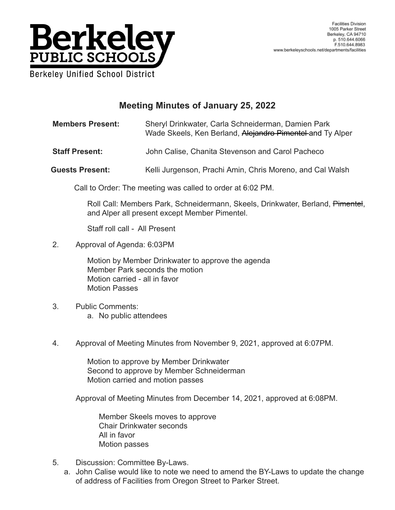

## **Meeting Minutes of January 25, 2022**

**Members Present:** Sheryl Drinkwater, Carla Schneiderman, Damien Park Wade Skeels, Ken Berland, Alejandro Pimentel-and Ty Alper

- **Staff Present:** John Calise, Chanita Stevenson and Carol Pacheco
- **Guests Present:** Kelli Jurgenson, Prachi Amin, Chris Moreno, and Cal Walsh

Call to Order: The meeting was called to order at 6:02 PM.

Roll Call: Members Park, Schneidermann, Skeels, Drinkwater, Berland, Pimentel, and Alper all present except Member Pimentel.

Staff roll call - All Present

2. Approval of Agenda: 6:03PM

Motion by Member Drinkwater to approve the agenda Member Park seconds the motion Motion carried - all in favor Motion Passes

- 3. Public Comments: a. No public attendees
- 4. Approval of Meeting Minutes from November 9, 2021, approved at 6:07PM.

Motion to approve by Member Drinkwater Second to approve by Member Schneiderman Motion carried and motion passes

Approval of Meeting Minutes from December 14, 2021, approved at 6:08PM.

Member Skeels moves to approve Chair Drinkwater seconds All in favor Motion passes

- 5. Discussion: Committee By-Laws.
	- a. John Calise would like to note we need to amend the BY-Laws to update the change of address of Facilities from Oregon Street to Parker Street.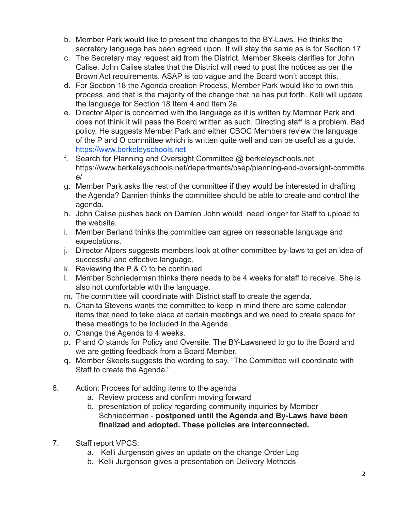- b. Member Park would like to present the changes to the BY-Laws. He thinks the secretary language has been agreed upon. It will stay the same as is for Section 17
- c. The Secretary may request aid from the District. Member Skeels clarifies for John Calise. John Calise states that the District will need to post the notices as per the Brown Act requirements. ASAP is too vague and the Board won't accept this.
- d. For Section 18 the Agenda creation Process, Member Park would like to own this process, and that is the majority of the change that he has put forth. Kelli will update the language for Section 18 Item 4 and Item 2a
- e. Director Alper is concerned with the language as it is written by Member Park and does not think it will pass the Board written as such. Directing staff is a problem. Bad policy. He suggests Member Park and either CBOC Members review the language of the P and O committee which is written quite well and can be useful as a guide. <https://www.berkeleyschools.net>
- f. Search for Planning and Oversight Committee @ berkeleyschools.net https://www.berkeleyschools.net/departments/bsep/planning-and-oversight-committe e/
- g. Member Park asks the rest of the committee if they would be interested in drafting the Agenda? Damien thinks the committee should be able to create and control the agenda.
- h. John Calise pushes back on Damien John would need longer for Staff to upload to the website.
- i. Member Berland thinks the committee can agree on reasonable language and expectations.
- j. Director Alpers suggests members look at other committee by-laws to get an idea of successful and effective language.
- k. Reviewing the P & O to be continued
- l. Member Schniederman thinks there needs to be 4 weeks for staff to receive. She is also not comfortable with the language.
- m. The committee will coordinate with District staff to create the agenda.
- n. Chanita Stevens wants the committee to keep in mind there are some calendar items that need to take place at certain meetings and we need to create space for these meetings to be included in the Agenda.
- o. Change the Agenda to 4 weeks.
- p. P and O stands for Policy and Oversite. The BY-Lawsneed to go to the Board and we are getting feedback from a Board Member.
- q. Member Skeels suggests the wording to say, "The Committee will coordinate with Staff to create the Agenda."
- 6. Action: Process for adding items to the agenda
	- a. Review process and confirm moving forward
	- b. presentation of policy regarding community inquiries by Member Schniederman - **postponed until the Agenda and By-Laws have been finalized and adopted. These policies are interconnected.**
- 7. Staff report VPCS:
	- a. Kelli Jurgenson gives an update on the change Order Log
	- b. Kelli Jurgenson gives a presentation on Delivery Methods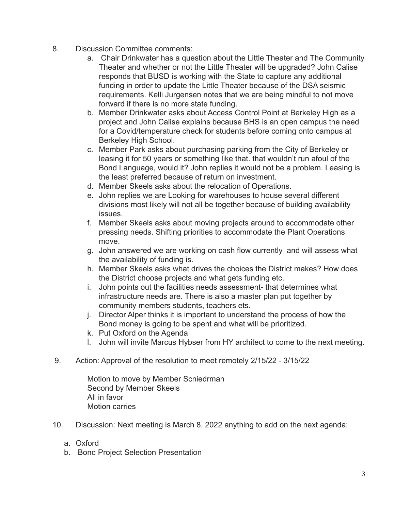- 8. Discussion Committee comments:
	- a. Chair Drinkwater has a question about the Little Theater and The Community Theater and whether or not the Little Theater will be upgraded? John Calise responds that BUSD is working with the State to capture any additional funding in order to update the Little Theater because of the DSA seismic requirements. Kelli Jurgensen notes that we are being mindful to not move forward if there is no more state funding.
	- b. Member Drinkwater asks about Access Control Point at Berkeley High as a project and John Calise explains because BHS is an open campus the need for a Covid/temperature check for students before coming onto campus at Berkeley High School.
	- c. Member Park asks about purchasing parking from the City of Berkeley or leasing it for 50 years or something like that. that wouldn't run afoul of the Bond Language, would it? John replies it would not be a problem. Leasing is the least preferred because of return on investment.
	- d. Member Skeels asks about the relocation of Operations.
	- e. John replies we are Looking for warehouses to house several different divisions most likely will not all be together because of building availability issues.
	- f. Member Skeels asks about moving projects around to accommodate other pressing needs. Shifting priorities to accommodate the Plant Operations move.
	- g. John answered we are working on cash flow currently and will assess what the availability of funding is.
	- h. Member Skeels asks what drives the choices the District makes? How does the District choose projects and what gets funding etc.
	- i. John points out the facilities needs assessment- that determines what infrastructure needs are. There is also a master plan put together by community members students, teachers ets.
	- j. Director Alper thinks it is important to understand the process of how the Bond money is going to be spent and what will be prioritized.
	- k. Put Oxford on the Agenda
	- l. John will invite Marcus Hybser from HY architect to come to the next meeting.
- 9. Action: Approval of the resolution to meet remotely 2/15/22 3/15/22

Motion to move by Member Scniedrman Second by Member Skeels All in favor Motion carries

- 10. Discussion: Next meeting is March 8, 2022 anything to add on the next agenda:
	- a. Oxford
	- b. Bond Project Selection Presentation